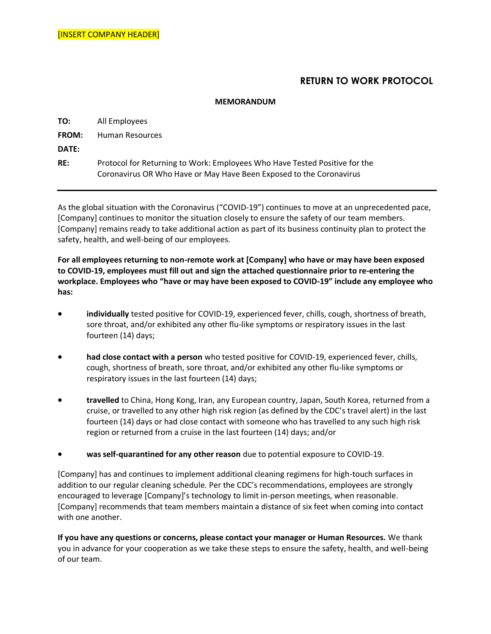## **RETURN TO WORK PROTOCOL**

## **MEMORANDUM**

**TO:** All Employees

**FROM:** Human Resources

**DATE:**

**RE:** Protocol for Returning to Work: Employees Who Have Tested Positive for the Coronavirus OR Who Have or May Have Been Exposed to the Coronavirus

As the global situation with the Coronavirus ("COVID-19") continues to move at an unprecedented pace, [Company] continues to monitor the situation closely to ensure the safety of our team members. [Company] remains ready to take additional action as part of its business continuity plan to protect the safety, health, and well-being of our employees.

**For all employees returning to non-remote work at [Company] who have or may have been exposed to COVID-19, employees must fill out and sign the attached questionnaire prior to re-entering the workplace. Employees who "have or may have been exposed to COVID-19" include any employee who has:**

- **individually** tested positive for COVID-19, experienced fever, chills, cough, shortness of breath, sore throat, and/or exhibited any other flu-like symptoms or respiratory issues in the last fourteen (14) days;
- **had close contact with a person** who tested positive for COVID-19, experienced fever, chills, cough, shortness of breath, sore throat, and/or exhibited any other flu-like symptoms or respiratory issues in the last fourteen (14) days;
- **travelled** to China, Hong Kong, Iran, any European country, Japan, South Korea, returned from a cruise, or travelled to any other high risk region (as defined by the CDC's travel alert) in the last fourteen (14) days or had close contact with someone who has travelled to any such high risk region or returned from a cruise in the last fourteen (14) days; and/or
- **was self-quarantined for any other reason** due to potential exposure to COVID-19.

[Company] has and continues to implement additional cleaning regimens for high-touch surfaces in addition to our regular cleaning schedule. Per the CDC's recommendations, employees are strongly encouraged to leverage [Company]'s technology to limit in-person meetings, when reasonable. [Company] recommends that team members maintain a distance of six feet when coming into contact with one another.

**If you have any questions or concerns, please contact your manager or Human Resources.** We thank you in advance for your cooperation as we take these steps to ensure the safety, health, and well-being of our team.